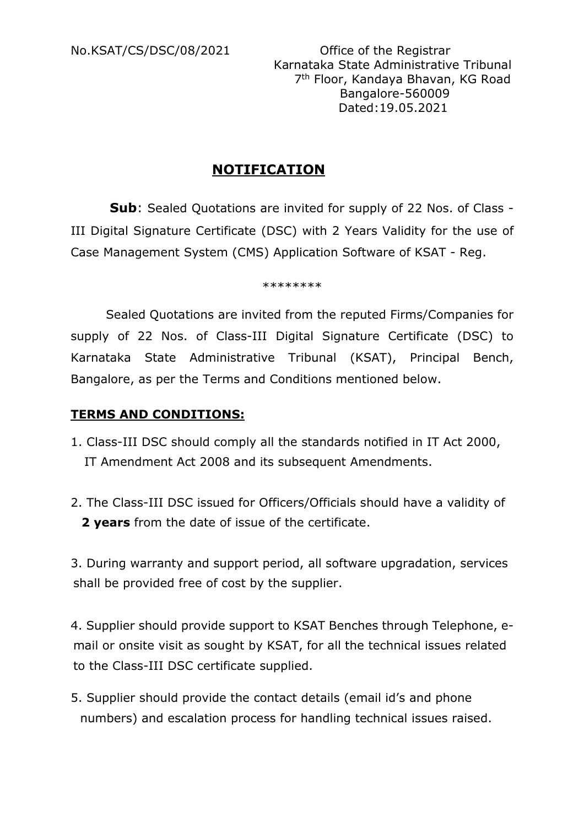No.KSAT/CS/DSC/08/2021 Office of the Registrar Karnataka State Administrative Tribunal 7th Floor, Kandaya Bhavan, KG Road Bangalore-560009 Dated:19.05.2021

## **NOTIFICATION**

 **Sub**: Sealed Quotations are invited for supply of 22 Nos. of Class - III Digital Signature Certificate (DSC) with 2 Years Validity for the use of Case Management System (CMS) Application Software of KSAT - Reg.

\*\*\*\*\*\*\*\*

 Sealed Quotations are invited from the reputed Firms/Companies for supply of 22 Nos. of Class-III Digital Signature Certificate (DSC) to Karnataka State Administrative Tribunal (KSAT), Principal Bench, Bangalore, as per the Terms and Conditions mentioned below.

### **TERMS AND CONDITIONS:**

- 1. Class-III DSC should comply all the standards notified in IT Act 2000, IT Amendment Act 2008 and its subsequent Amendments.
- 2. The Class-III DSC issued for Officers/Officials should have a validity of **2 years** from the date of issue of the certificate.

3. During warranty and support period, all software upgradation, services shall be provided free of cost by the supplier.

4. Supplier should provide support to KSAT Benches through Telephone, e mail or onsite visit as sought by KSAT, for all the technical issues related to the Class-III DSC certificate supplied.

5. Supplier should provide the contact details (email id's and phone numbers) and escalation process for handling technical issues raised.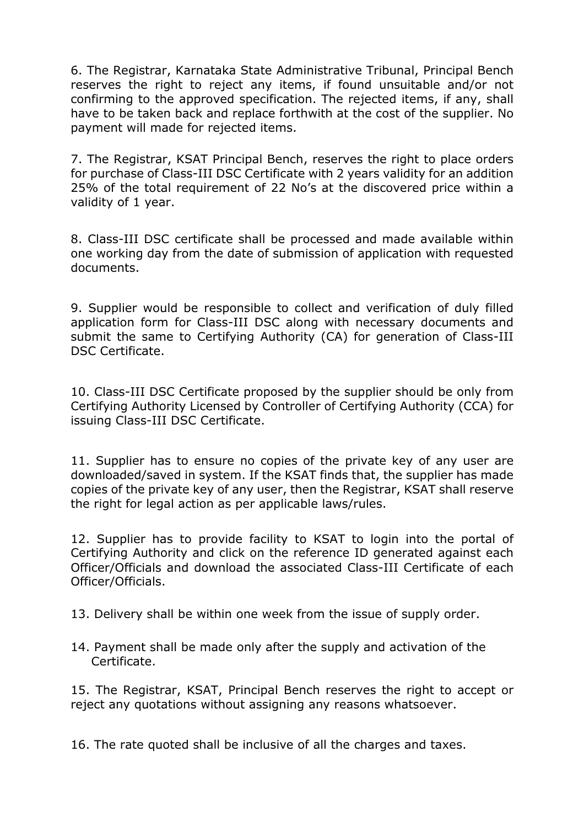6. The Registrar, Karnataka State Administrative Tribunal, Principal Bench reserves the right to reject any items, if found unsuitable and/or not confirming to the approved specification. The rejected items, if any, shall have to be taken back and replace forthwith at the cost of the supplier. No payment will made for rejected items.

7. The Registrar, KSAT Principal Bench, reserves the right to place orders for purchase of Class-III DSC Certificate with 2 years validity for an addition 25% of the total requirement of 22 No's at the discovered price within a validity of 1 year.

8. Class-III DSC certificate shall be processed and made available within one working day from the date of submission of application with requested documents.

9. Supplier would be responsible to collect and verification of duly filled application form for Class-III DSC along with necessary documents and submit the same to Certifying Authority (CA) for generation of Class-III DSC Certificate.

10. Class-III DSC Certificate proposed by the supplier should be only from Certifying Authority Licensed by Controller of Certifying Authority (CCA) for issuing Class-III DSC Certificate.

11. Supplier has to ensure no copies of the private key of any user are downloaded/saved in system. If the KSAT finds that, the supplier has made copies of the private key of any user, then the Registrar, KSAT shall reserve the right for legal action as per applicable laws/rules.

12. Supplier has to provide facility to KSAT to login into the portal of Certifying Authority and click on the reference ID generated against each Officer/Officials and download the associated Class-III Certificate of each Officer/Officials.

13. Delivery shall be within one week from the issue of supply order.

14. Payment shall be made only after the supply and activation of the Certificate.

15. The Registrar, KSAT, Principal Bench reserves the right to accept or reject any quotations without assigning any reasons whatsoever.

16. The rate quoted shall be inclusive of all the charges and taxes.